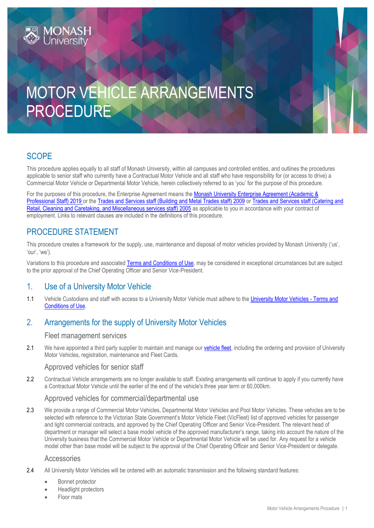# MOTOR VEHICLE ARRANGEMENTS PROCEDURE

# **SCOPE**

This procedure applies equally to all staff of Monash University, within all campuses and controlled entities, and outlines the procedures applicable to senior staff who currently have a Contractual Motor Vehicle and all staff who have responsibility for (or access to drive) a Commercial Motor Vehicle or Departmental Motor Vehicle, herein collectively referred to as 'you' for the purpose of this procedure.

For the purposes of this procedure, the Enterprise Agreement means the Monash University Enterprise Agreement (Academic & [Professional Staff\) 2019](https://www.monash.edu/current-enterprise-agreements/academic-professional-2019) or the [Trades and Services staff \(Building and Metal Trades staff\) 2009](https://www.monash.edu/current-enterprise-agreements/trades-services-bmt-2009) or Trades and Services staff (Catering and [Retail, Cleaning and Caretaking, and Miscellaneous services staff\) 2005](https://www.monash.edu/current-enterprise-agreements/trades-services-crccm-2005) as applicable to you in accordance with your contract of employment. Links to relevant clauses are included in the definitions of this procedure.

# PROCEDURE STATEMENT

This procedure creates a framework for the supply, use, maintenance and disposal of motor vehicles provided by Monash University ('us', 'our', 'we').

Variations to this procedure and associated [Terms and Conditions of Use,](http://www.monash.edu/policy-bank/hr/remuneration/motor/terms) may be considered in exceptional circumstances but are subject to the prior approval of the Chief Operating Officer and Senior Vice-President.

# 1. Use of a University Motor Vehicle

1.1 Vehicle Custodians and staff with access to a University Motor Vehicle must adhere to the [University Motor Vehicles -](http://www.monash.edu/policy-bank/hr/remuneration/motor/terms) Terms and [Conditions of Use.](http://www.monash.edu/policy-bank/hr/remuneration/motor/terms)

# 2. Arrangements for the supply of University Motor Vehicles

# Fleet management services

2.1 We have appointed a third party supplier to maintain and manage our [vehicle fleet,](https://www.intranet.monash/finance/our-services/vehicle-fleet) including the ordering and provision of University Motor Vehicles, registration, maintenance and Fleet Cards.

# Approved vehicles for senior staff

2.2 Contractual Vehicle arrangements are no longer available to staff. Existing arrangements will continue to apply if you currently have a Contractual Motor Vehicle until the earlier of the end of the vehicle's three year term or 60,000km.

# Approved vehicles for commercial/departmental use

2.3 We provide a range of Commercial Motor Vehicles, Departmental Motor Vehicles and Pool Motor Vehicles. These vehicles are to be selected with reference to the Victorian State Government's Motor Vehicle Fleet (VicFleet) list of approved vehicles for passenger and light commercial contracts, and approved by the Chief Operating Officer and Senior Vice-President. The relevant head of department or manager will select a base model vehicle of the approved manufacturer's range, taking into account the nature of the University business that the Commercial Motor Vehicle or Departmental Motor Vehicle will be used for. Any request for a vehicle model other than base model will be subject to the approval of the Chief Operating Officer and Senior Vice-President or delegate.

# Accessories

- 2.4 All University Motor Vehicles will be ordered with an automatic transmission and the following standard features:
	- Bonnet protector
	- Headlight protectors
	- Floor mats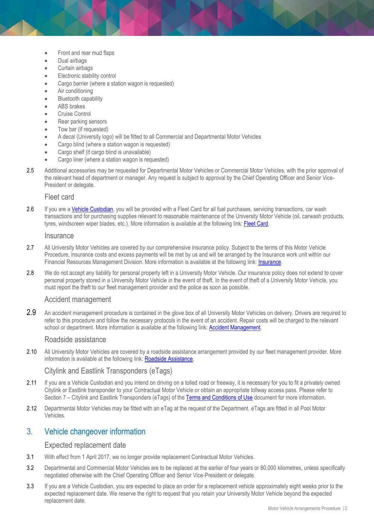- Front and rear mud flaps
- Dual airbags
- Curtain airbags
- Electronic stability control
- Cargo barrier (where a station wagon is requested)
- Air conditioning
- Bluetooth capability
- ABS brakes
- Cruise Control
- Rear parking sensors
- Tow bar (if requested)
- A decal (University logo) will be fitted to all Commercial and Departmental Motor Vehicles
- Cargo blind (where a station wagon is requested)
- Cargo shelf (if cargo blind is unavailable)
- Cargo liner (where a station wagon is requested)
- 2.5 Additional accessories may be requested for Departmental Motor Vehicles or Commercial Motor Vehicles, with the prior approval of the relevant head of department or manager. Any request is subject to approval by the Chief Operating Officer and Senior Vice-President or delegate.

#### Fleet card

2.6 If you are a [Vehicle Custodian,](#page-4-0) you will be provided with a Fleet Card for all fuel purchases, servicing transactions, car wash transactions and for purchasing supplies relevant to reasonable maintenance of the University Motor Vehicle (oil, carwash products, tyres, windscreen wiper blades, etc.). More information is available at the following link: [Fleet Card.](http://www.intranet.monash/finance/our-services/vehicle-fleet)

#### **Insurance**

- 2.7 All University Motor Vehicles are covered by our comprehensive insurance policy. Subject to the terms of this Motor Vehicle Procedure, insurance costs and excess payments will be met by us and will be arranged by the Insurance work unit within our Financial Resources Management Division. More information is available at the following link: [Insurance.](http://www.intranet.monash/finance/our-services/insurance)
- 2.8 We do not accept any liability for personal property left in a University Motor Vehicle. Our insurance policy does not extend to cover personal property stored in a University Motor Vehicle in the event of theft. In the event of theft of a University Motor Vehicle, you must report the theft to our fleet management provider and the police as soon as possible.

## Accident management

2.9 An accident management procedure is contained in the glove box of all University Motor Vehicles on delivery. Drivers are required to refer to this procedure and follow the necessary protocols in the event of an accident. Repair costs will be charged to the relevant school or department. More information is available at the following link: [Accident Management.](http://www.intranet.monash/finance/our-services/vehicle-fleet/accident)

## Roadside assistance

2.10 All University Motor Vehicles are covered by a roadside assistance arrangement provided by our fleet management provider. More information is available at the following link: [Roadside Assistance.](http://www.intranet.monash/finance/our-services/vehicle-fleet/roadside)

### Citylink and Eastlink Transponders (eTags)

- 2.11 If you are a Vehicle Custodian and you intend on driving on a tolled road or freeway, it is necessary for you to fit a privately owned Citylink or Eastlink transponder to your Contractual Motor Vehicle or obtain an appropriate tollway access pass. Please refer to Section 7 – Citylink and Eastlink Transponders (eTags) of the [Terms and Conditions of Use](http://www.monash.edu/policy-bank/hr/remuneration/motor/terms) document for more information.
- 2.12 Departmental Motor Vehicles may be fitted with an eTag at the request of the Department. eTags are fitted in all Pool Motor Vehicles.

# 3. Vehicle changeover information

### Expected replacement date

- 3.1 With effect from 1 April 2017, we no longer provide replacement Contractual Motor Vehicles.
- 3.2 Departmental and Commercial Motor Vehicles are to be replaced at the earlier of four years or 80,000 kilometres, unless specifically negotiated otherwise with the Chief Operating Officer and Senior Vice-President or delegate.
- 3.3 If you are a Vehicle Custodian, you are expected to place an order for a replacement vehicle approximately eight weeks prior to the expected replacement date. We reserve the right to request that you retain your University Motor Vehicle beyond the expected replacement date.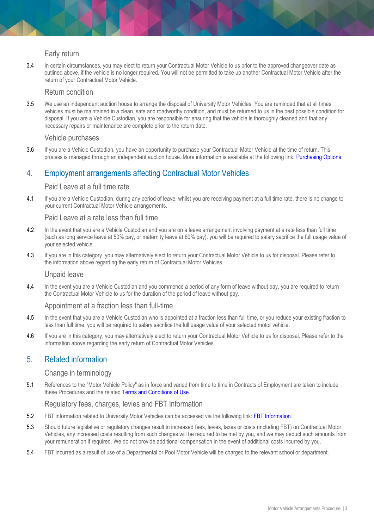# Early return

3.4 In certain circumstances, you may elect to return your Contractual Motor Vehicle to us prior to the approved changeover date as outlined above, if the vehicle is no longer required. You will not be permitted to take up another Contractual Motor Vehicle after the return of your Contractual Motor Vehicle.

## Return condition

3.5 We use an independent auction house to arrange the disposal of University Motor Vehicles. You are reminded that at all times vehicles must be maintained in a clean, safe and roadworthy condition, and must be returned to us in the best possible condition for disposal. If you are a Vehicle Custodian, you are responsible for ensuring that the vehicle is thoroughly cleaned and that any necessary repairs or maintenance are complete prior to the return date.

## Vehicle purchases

3.6 If you are a Vehicle Custodian, you have an opportunity to purchase your Contractual Motor Vehicle at the time of return. This process is managed through an independent auction house. More information is available at the following link: [Purchasing Options.](http://www.intranet.monash/finance/our-services/vehicle-fleet/leasing/purchasing-options)

# 4. Employment arrangements affecting Contractual Motor Vehicles

## Paid Leave at a full time rate

4.1 If you are a Vehicle Custodian, during any period of leave, whilst you are receiving payment at a full time rate, there is no change to your current Contractual Motor Vehicle arrangements.

# Paid Leave at a rate less than full time

- 4.2 In the event that you are a Vehicle Custodian and you are on a leave arrangement involving payment at a rate less than full time (such as long service leave at 50% pay, or maternity leave at 60% pay). you will be required to salary sacrifice the full usage value of your selected vehicle.
- 4.3 If you are in this category, you may alternatively elect to return your Contractual Motor Vehicle to us for disposal. Please refer to the information above regarding the early return of Contractual Motor Vehicles.

### Unpaid leave

4.4 In the event you are a Vehicle Custodian and you commence a period of any form of leave without pay, you are required to return the Contractual Motor Vehicle to us for the duration of the period of leave without pay.

# Appointment at a fraction less than full-time

- 4.5 In the event that you are a Vehicle Custodian who is appointed at a fraction less than full time, or you reduce your existing fraction to less than full time, you will be required to salary sacrifice the full usage value of your selected motor vehicle.
- 4.6 If you are in this category, you may alternatively elect to return your Contractual Motor Vehicle to us for disposal. Please refer to the information above regarding the early return of Contractual Motor Vehicles.

# 5. Related information

# Change in terminology

5.1 References to the "Motor Vehicle Policy" as in force and varied from time to time in Contracts of Employment are taken to include these Procedures and the related [Terms and Conditions of Use.](http://www.monash.edu/policy-bank/hr/remuneration/motor/terms)

# Regulatory fees, charges, levies and FBT Information

- 5.2 FBT information related to University Motor Vehicles can be accessed via the following link: [FBT Information.](http://www.intranet.monash/finance/our-services/taxation/fbt)
- 5.3 Should future legislative or regulatory changes result in increased fees, levies, taxes or costs (including FBT) on Contractual Motor Vehicles, any increased costs resulting from such changes will be required to be met by you, and we may deduct such amounts from your remuneration if required. We do not provide additional compensation in the event of additional costs incurred by you.
- 5.4 FBT incurred as a result of use of a Departmental or Pool Motor Vehicle will be charged to the relevant school or department.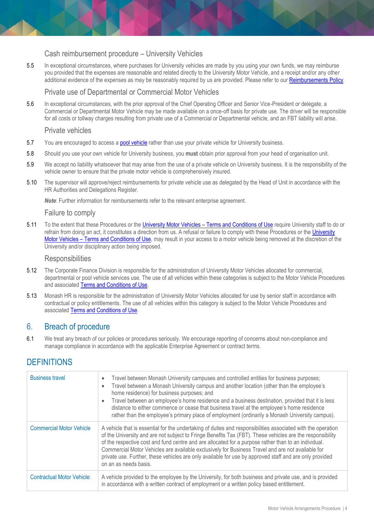# Cash reimbursement procedure – University Vehicles

5.5 In exceptional circumstances, where purchases for University vehicles are made by you using your own funds, we may reimburse you provided that the expenses are reasonable and related directly to the University Motor Vehicle, and a receipt and/or any other additional evidence of the expenses as may be reasonably required by us are provided. Please refer to our [Reimbursements Policy.](http://policy.monash.edu.au/policy-bank/management/finance/reimbursements-policy.html)

# Private use of Departmental or Commercial Motor Vehicles

5.6 In exceptional circumstances, with the prior approval of the Chief Operating Officer and Senior Vice-President or delegate, a Commercial or Departmental Motor Vehicle may be made available on a once-off basis for private use. The driver will be responsible for all costs or tollway charges resulting from private use of a Commercial or Departmental vehicle, and an FBT liability will arise.

### Private vehicles

- 5.7 You are encouraged to access a [pool vehicle](http://www.intranet.monash/finance/our-services/pvhs) rather than use your private vehicle for University business.
- 5.8 Should you use your own vehicle for University business, you **must** obtain prior approval from your head of organisation unit.
- 5.9 We accept no liability whatsoever that may arise from the use of a private vehicle on University business. It is the responsibility of the vehicle owner to ensure that the private motor vehicle is comprehensively insured.
- 5.10 The supervisor will approve/reject reimbursements for private vehicle use as delegated by the Head of Unit in accordance with the HR Authorities and Delegations Register.

*Note*: Further information for reimbursements refer to the relevant enterprise agreement.

### Failure to comply

5.11 To the extent that these Procedures or the University Motor Vehicles – [Terms and Conditions of Use](http://www.monash.edu/policy-bank/hr/remuneration/motor/terms) require University staff to do or refrain from doing an act, it constitutes a direction from us. A refusal or failure to comply with these Procedures or the [University](http://www.monash.edu/policy-bank/hr/remuneration/motor/terms)  Motor Vehicles – [Terms and Conditions of Use,](http://www.monash.edu/policy-bank/hr/remuneration/motor/terms) may result in your access to a motor vehicle being removed at the discretion of the University and/or disciplinary action being imposed.

#### **Responsibilities**

- 5.12 The Corporate Finance Division is responsible for the administration of University Motor Vehicles allocated for commercial, departmental or pool vehicle services use. The use of all vehicles within these categories is subject to the Motor Vehicle Procedures and associated [Terms and Conditions of Use.](http://www.monash.edu/policy-bank/hr/remuneration/motor/terms)
- 5.13 Monash HR is responsible for the administration of University Motor Vehicles allocated for use by senior staff in accordance with contractual or policy entitlements. The use of all vehicles within this category is subject to the Motor Vehicle Procedures and associated [Terms and Conditions of Use.](http://www.monash.edu/policy-bank/hr/remuneration/motor/terms)

# 6. Breach of procedure

6.1 We treat any breach of our policies or procedures seriously. We encourage reporting of concerns about non-compliance and manage compliance in accordance with the applicable Enterprise Agreement or contract terms.

# **DEFINITIONS**

| <b>Business travel</b>            | Travel between Monash University campuses and controlled entities for business purposes;<br>$\bullet$<br>Travel between a Monash University campus and another location (other than the employee's<br>$\bullet$<br>home residence) for business purposes; and<br>Travel between an employee's home residence and a business destination, provided that it is less<br>$\bullet$<br>distance to either commence or cease that business travel at the employee's home residence<br>rather than the employee's primary place of employment (ordinarily a Monash University campus). |
|-----------------------------------|---------------------------------------------------------------------------------------------------------------------------------------------------------------------------------------------------------------------------------------------------------------------------------------------------------------------------------------------------------------------------------------------------------------------------------------------------------------------------------------------------------------------------------------------------------------------------------|
| <b>Commercial Motor Vehicle</b>   | A vehicle that is essential for the undertaking of duties and responsibilities associated with the operation<br>of the University and are not subject to Fringe Benefits Tax (FBT). These vehicles are the responsibility<br>of the respective cost and fund centre and are allocated for a purpose rather than to an individual.<br>Commercial Motor Vehicles are available exclusively for Business Travel and are not available for<br>private use. Further, these vehicles are only available for use by approved staff and are only provided<br>on an as needs basis.      |
| <b>Contractual Motor Vehicle:</b> | A vehicle provided to the employee by the University, for both business and private use, and is provided<br>in accordance with a written contract of employment or a written policy based entitlement.                                                                                                                                                                                                                                                                                                                                                                          |